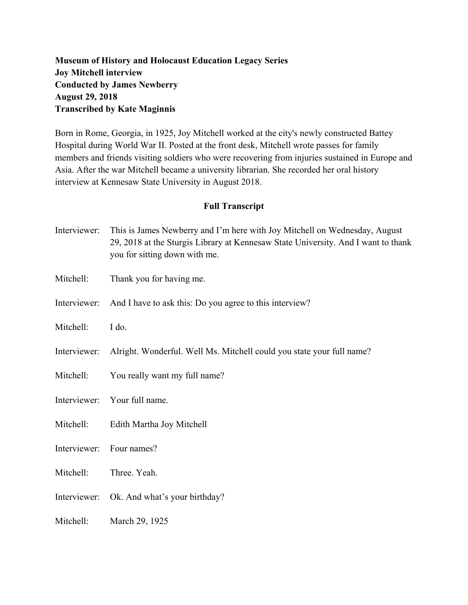## **Museum of History and Holocaust Education Legacy Series Joy Mitchell interview Conducted by James Newberry August 29, 2018 Transcribed by Kate Maginnis**

Born in Rome, Georgia, in 1925, Joy Mitchell worked at the city's newly constructed Battey Hospital during World War II. Posted at the front desk, Mitchell wrote passes for family members and friends visiting soldiers who were recovering from injuries sustained in Europe and Asia. After the war Mitchell became a university librarian. She recorded her oral history interview at Kennesaw State University in August 2018.

## **Full Transcript**

- Interviewer: This is James Newberry and I'm here with Joy Mitchell on Wednesday, August 29, 2018 at the Sturgis Library at Kennesaw State University. And I want to thank you for sitting down with me.
- Mitchell: Thank you for having me.
- Interviewer: And I have to ask this: Do you agree to this interview?
- Mitchell: I do.
- Interviewer: Alright. Wonderful. Well Ms. Mitchell could you state your full name?
- Mitchell: You really want my full name?

Interviewer: Your full name.

- Mitchell: Edith Martha Joy Mitchell
- Interviewer: Four names?
- Mitchell: Three. Yeah.
- Interviewer: Ok. And what's your birthday?
- Mitchell: March 29, 1925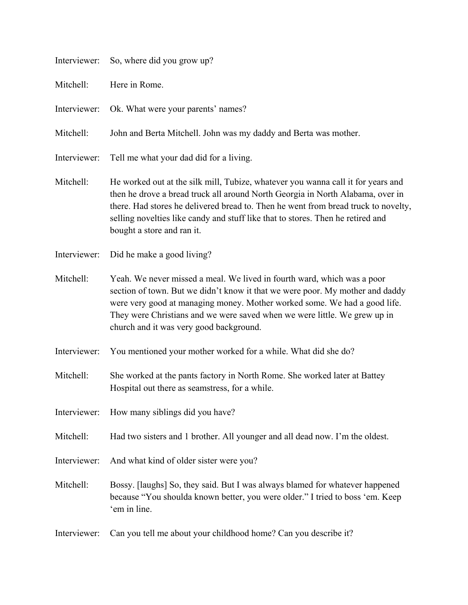| Interviewer: | So, where did you grow up?                                                                                                                                                                                                                                                                                                                                                |
|--------------|---------------------------------------------------------------------------------------------------------------------------------------------------------------------------------------------------------------------------------------------------------------------------------------------------------------------------------------------------------------------------|
| Mitchell:    | Here in Rome.                                                                                                                                                                                                                                                                                                                                                             |
| Interviewer: | Ok. What were your parents' names?                                                                                                                                                                                                                                                                                                                                        |
| Mitchell:    | John and Berta Mitchell. John was my daddy and Berta was mother.                                                                                                                                                                                                                                                                                                          |
| Interviewer: | Tell me what your dad did for a living.                                                                                                                                                                                                                                                                                                                                   |
| Mitchell:    | He worked out at the silk mill, Tubize, whatever you wanna call it for years and<br>then he drove a bread truck all around North Georgia in North Alabama, over in<br>there. Had stores he delivered bread to. Then he went from bread truck to novelty,<br>selling novelties like candy and stuff like that to stores. Then he retired and<br>bought a store and ran it. |
| Interviewer: | Did he make a good living?                                                                                                                                                                                                                                                                                                                                                |
| Mitchell:    | Yeah. We never missed a meal. We lived in fourth ward, which was a poor<br>section of town. But we didn't know it that we were poor. My mother and daddy<br>were very good at managing money. Mother worked some. We had a good life.<br>They were Christians and we were saved when we were little. We grew up in<br>church and it was very good background.             |
| Interviewer: | You mentioned your mother worked for a while. What did she do?                                                                                                                                                                                                                                                                                                            |
| Mitchell:    | She worked at the pants factory in North Rome. She worked later at Battey<br>Hospital out there as seamstress, for a while.                                                                                                                                                                                                                                               |
| Interviewer: | How many siblings did you have?                                                                                                                                                                                                                                                                                                                                           |
| Mitchell:    | Had two sisters and 1 brother. All younger and all dead now. I'm the oldest.                                                                                                                                                                                                                                                                                              |
| Interviewer: | And what kind of older sister were you?                                                                                                                                                                                                                                                                                                                                   |
| Mitchell:    | Bossy. [laughs] So, they said. But I was always blamed for whatever happened<br>because "You shoulda known better, you were older." I tried to boss 'em. Keep<br>'em in line.                                                                                                                                                                                             |
| Interviewer: | Can you tell me about your childhood home? Can you describe it?                                                                                                                                                                                                                                                                                                           |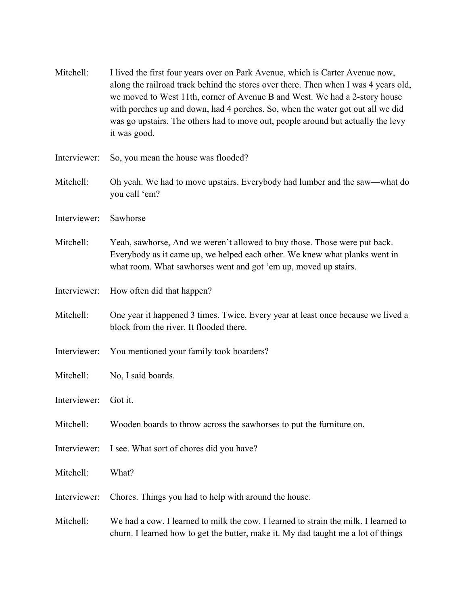| Mitchell:    | I lived the first four years over on Park Avenue, which is Carter Avenue now,<br>along the railroad track behind the stores over there. Then when I was 4 years old,<br>we moved to West 11th, corner of Avenue B and West. We had a 2-story house<br>with porches up and down, had 4 porches. So, when the water got out all we did<br>was go upstairs. The others had to move out, people around but actually the levy<br>it was good. |
|--------------|------------------------------------------------------------------------------------------------------------------------------------------------------------------------------------------------------------------------------------------------------------------------------------------------------------------------------------------------------------------------------------------------------------------------------------------|
| Interviewer: | So, you mean the house was flooded?                                                                                                                                                                                                                                                                                                                                                                                                      |
| Mitchell:    | Oh yeah. We had to move upstairs. Everybody had lumber and the saw—what do<br>you call 'em?                                                                                                                                                                                                                                                                                                                                              |
| Interviewer: | Sawhorse                                                                                                                                                                                                                                                                                                                                                                                                                                 |
| Mitchell:    | Yeah, sawhorse, And we weren't allowed to buy those. Those were put back.<br>Everybody as it came up, we helped each other. We knew what planks went in<br>what room. What sawhorses went and got 'em up, moved up stairs.                                                                                                                                                                                                               |
| Interviewer: | How often did that happen?                                                                                                                                                                                                                                                                                                                                                                                                               |
| Mitchell:    | One year it happened 3 times. Twice. Every year at least once because we lived a<br>block from the river. It flooded there.                                                                                                                                                                                                                                                                                                              |
| Interviewer: | You mentioned your family took boarders?                                                                                                                                                                                                                                                                                                                                                                                                 |
| Mitchell:    | No, I said boards.                                                                                                                                                                                                                                                                                                                                                                                                                       |
| Interviewer: | Got it.                                                                                                                                                                                                                                                                                                                                                                                                                                  |
| Mitchell:    | Wooden boards to throw across the sawhorses to put the furniture on.                                                                                                                                                                                                                                                                                                                                                                     |
| Interviewer: | I see. What sort of chores did you have?                                                                                                                                                                                                                                                                                                                                                                                                 |
| Mitchell:    | What?                                                                                                                                                                                                                                                                                                                                                                                                                                    |
| Interviewer: | Chores. Things you had to help with around the house.                                                                                                                                                                                                                                                                                                                                                                                    |
| Mitchell:    | We had a cow. I learned to milk the cow. I learned to strain the milk. I learned to<br>churn. I learned how to get the butter, make it. My dad taught me a lot of things                                                                                                                                                                                                                                                                 |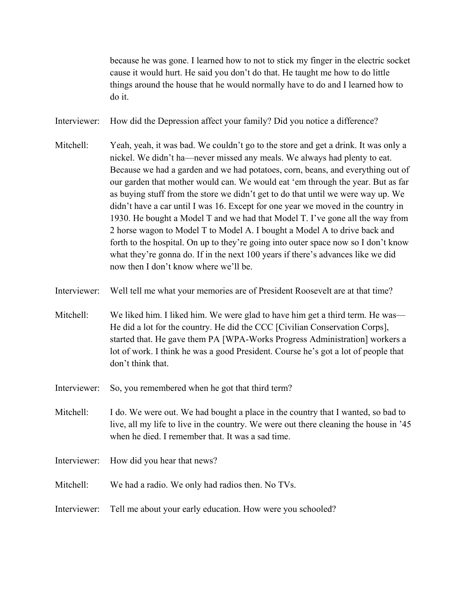because he was gone. I learned how to not to stick my finger in the electric socket cause it would hurt. He said you don't do that. He taught me how to do little things around the house that he would normally have to do and I learned how to do it.

- Interviewer: How did the Depression affect your family? Did you notice a difference?
- Mitchell: Yeah, yeah, it was bad. We couldn't go to the store and get a drink. It was only a nickel. We didn't ha—never missed any meals. We always had plenty to eat. Because we had a garden and we had potatoes, corn, beans, and everything out of our garden that mother would can. We would eat 'em through the year. But as far as buying stuff from the store we didn't get to do that until we were way up. We didn't have a car until I was 16. Except for one year we moved in the country in 1930. He bought a Model T and we had that Model T. I've gone all the way from 2 horse wagon to Model T to Model A. I bought a Model A to drive back and forth to the hospital. On up to they're going into outer space now so I don't know what they're gonna do. If in the next 100 years if there's advances like we did now then I don't know where we'll be.
- Interviewer: Well tell me what your memories are of President Roosevelt are at that time?
- Mitchell: We liked him. I liked him. We were glad to have him get a third term. He was— He did a lot for the country. He did the CCC [Civilian Conservation Corps], started that. He gave them PA [WPA-Works Progress Administration] workers a lot of work. I think he was a good President. Course he's got a lot of people that don't think that.
- Interviewer: So, you remembered when he got that third term?
- Mitchell: I do. We were out. We had bought a place in the country that I wanted, so bad to live, all my life to live in the country. We were out there cleaning the house in '45 when he died. I remember that. It was a sad time.
- Interviewer: How did you hear that news?
- Mitchell: We had a radio. We only had radios then. No TVs.
- Interviewer: Tell me about your early education. How were you schooled?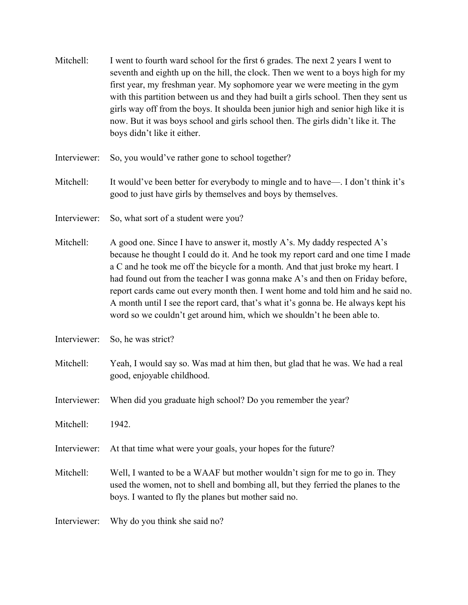- Mitchell: I went to fourth ward school for the first 6 grades. The next 2 years I went to seventh and eighth up on the hill, the clock. Then we went to a boys high for my first year, my freshman year. My sophomore year we were meeting in the gym with this partition between us and they had built a girls school. Then they sent us girls way off from the boys. It shoulda been junior high and senior high like it is now. But it was boys school and girls school then. The girls didn't like it. The boys didn't like it either.
- Interviewer: So, you would've rather gone to school together?
- Mitchell: It would've been better for everybody to mingle and to have—. I don't think it's good to just have girls by themselves and boys by themselves.
- Interviewer: So, what sort of a student were you?
- Mitchell: A good one. Since I have to answer it, mostly A's. My daddy respected A's because he thought I could do it. And he took my report card and one time I made a C and he took me off the bicycle for a month. And that just broke my heart. I had found out from the teacher I was gonna make A's and then on Friday before, report cards came out every month then. I went home and told him and he said no. A month until I see the report card, that's what it's gonna be. He always kept his word so we couldn't get around him, which we shouldn't he been able to.
- Interviewer: So, he was strict?
- Mitchell: Yeah, I would say so. Was mad at him then, but glad that he was. We had a real good, enjoyable childhood.
- Interviewer: When did you graduate high school? Do you remember the year?
- Mitchell: 1942.
- Interviewer: At that time what were your goals, your hopes for the future?
- Mitchell: Well, I wanted to be a WAAF but mother wouldn't sign for me to go in. They used the women, not to shell and bombing all, but they ferried the planes to the boys. I wanted to fly the planes but mother said no.
- Interviewer: Why do you think she said no?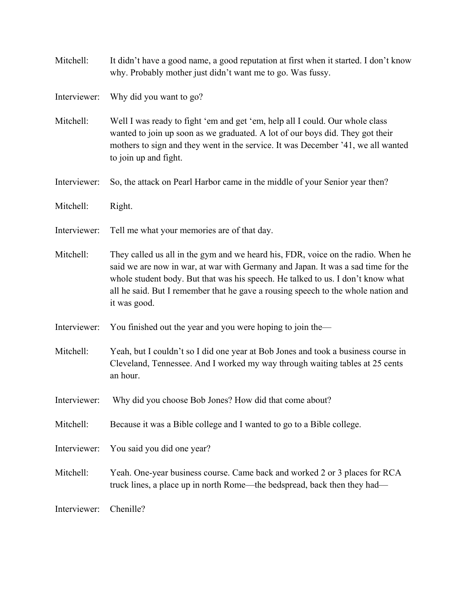- Mitchell: It didn't have a good name, a good reputation at first when it started. I don't know why. Probably mother just didn't want me to go. Was fussy.
- Interviewer: Why did you want to go?
- Mitchell: Well I was ready to fight 'em and get 'em, help all I could. Our whole class wanted to join up soon as we graduated. A lot of our boys did. They got their mothers to sign and they went in the service. It was December '41, we all wanted to join up and fight.
- Interviewer: So, the attack on Pearl Harbor came in the middle of your Senior year then?
- Mitchell: Right.
- Interviewer: Tell me what your memories are of that day.
- Mitchell: They called us all in the gym and we heard his, FDR, voice on the radio. When he said we are now in war, at war with Germany and Japan. It was a sad time for the whole student body. But that was his speech. He talked to us. I don't know what all he said. But I remember that he gave a rousing speech to the whole nation and it was good.
- Interviewer: You finished out the year and you were hoping to join the—
- Mitchell: Yeah, but I couldn't so I did one year at Bob Jones and took a business course in Cleveland, Tennessee. And I worked my way through waiting tables at 25 cents an hour.
- Interviewer: Why did you choose Bob Jones? How did that come about?
- Mitchell: Because it was a Bible college and I wanted to go to a Bible college.
- Interviewer: You said you did one year?
- Mitchell: Yeah. One-year business course. Came back and worked 2 or 3 places for RCA truck lines, a place up in north Rome—the bedspread, back then they had—

Interviewer: Chenille?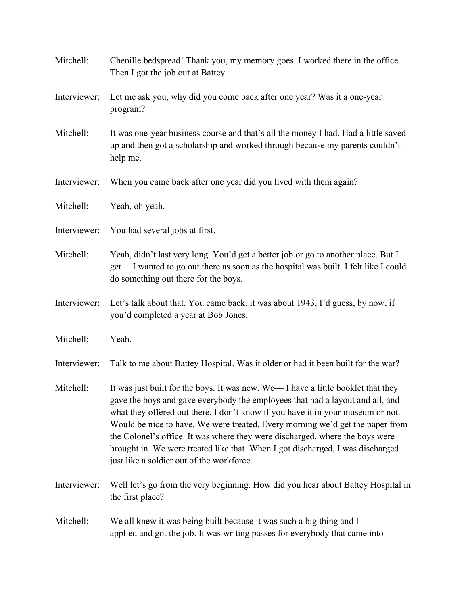| Mitchell:    | Chenille bedspread! Thank you, my memory goes. I worked there in the office.<br>Then I got the job out at Battey.                                                                                                                                                                                                                                                                                                                                                                                                                                    |
|--------------|------------------------------------------------------------------------------------------------------------------------------------------------------------------------------------------------------------------------------------------------------------------------------------------------------------------------------------------------------------------------------------------------------------------------------------------------------------------------------------------------------------------------------------------------------|
| Interviewer: | Let me ask you, why did you come back after one year? Was it a one-year<br>program?                                                                                                                                                                                                                                                                                                                                                                                                                                                                  |
| Mitchell:    | It was one-year business course and that's all the money I had. Had a little saved<br>up and then got a scholarship and worked through because my parents couldn't<br>help me.                                                                                                                                                                                                                                                                                                                                                                       |
| Interviewer: | When you came back after one year did you lived with them again?                                                                                                                                                                                                                                                                                                                                                                                                                                                                                     |
| Mitchell:    | Yeah, oh yeah.                                                                                                                                                                                                                                                                                                                                                                                                                                                                                                                                       |
| Interviewer: | You had several jobs at first.                                                                                                                                                                                                                                                                                                                                                                                                                                                                                                                       |
| Mitchell:    | Yeah, didn't last very long. You'd get a better job or go to another place. But I<br>get—I wanted to go out there as soon as the hospital was built. I felt like I could<br>do something out there for the boys.                                                                                                                                                                                                                                                                                                                                     |
| Interviewer: | Let's talk about that. You came back, it was about 1943, I'd guess, by now, if<br>you'd completed a year at Bob Jones.                                                                                                                                                                                                                                                                                                                                                                                                                               |
| Mitchell:    | Yeah.                                                                                                                                                                                                                                                                                                                                                                                                                                                                                                                                                |
| Interviewer: | Talk to me about Battey Hospital. Was it older or had it been built for the war?                                                                                                                                                                                                                                                                                                                                                                                                                                                                     |
| Mitchell:    | It was just built for the boys. It was new. We-I have a little booklet that they<br>gave the boys and gave everybody the employees that had a layout and all, and<br>what they offered out there. I don't know if you have it in your museum or not.<br>Would be nice to have. We were treated. Every morning we'd get the paper from<br>the Colonel's office. It was where they were discharged, where the boys were<br>brought in. We were treated like that. When I got discharged, I was discharged<br>just like a soldier out of the workforce. |
| Interviewer: | Well let's go from the very beginning. How did you hear about Battey Hospital in<br>the first place?                                                                                                                                                                                                                                                                                                                                                                                                                                                 |
| Mitchell:    | We all knew it was being built because it was such a big thing and I<br>applied and got the job. It was writing passes for everybody that came into                                                                                                                                                                                                                                                                                                                                                                                                  |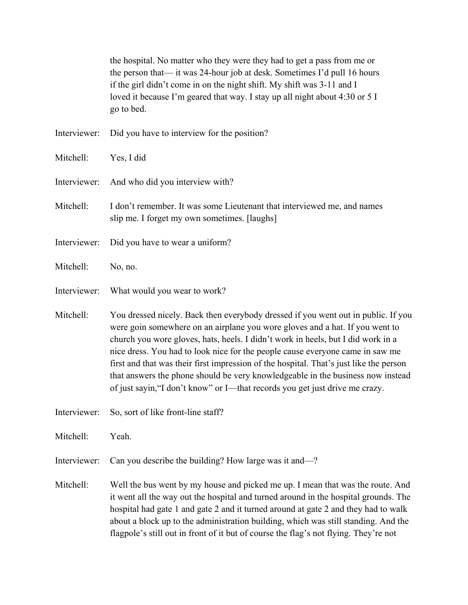the hospital. No matter who they were they had to get a pass from me or the person that— it was 24-hour job at desk. Sometimes I'd pull 16 hours if the girl didn't come in on the night shift. My shift was 3-11 and I loved it because I'm geared that way. I stay up all night about 4:30 or 5 I go to bed.

Interviewer: Did you have to interview for the position?

Mitchell: Yes, I did

- Interviewer: And who did you interview with?
- Mitchell: I don't remember. It was some Lieutenant that interviewed me, and names slip me. I forget my own sometimes. [laughs]
- Interviewer: Did you have to wear a uniform?
- Mitchell: No, no.
- Interviewer: What would you wear to work?

Mitchell: You dressed nicely. Back then everybody dressed if you went out in public. If you were goin somewhere on an airplane you wore gloves and a hat. If you went to church you wore gloves, hats, heels. I didn't work in heels, but I did work in a nice dress. You had to look nice for the people cause everyone came in saw me first and that was their first impression of the hospital. That's just like the person that answers the phone should be very knowledgeable in the business now instead of just sayin,"I don't know" or I—that records you get just drive me crazy.

Interviewer: So, sort of like front-line staff?

Mitchell: Yeah.

Interviewer: Can you describe the building? How large was it and—?

Mitchell: Well the bus went by my house and picked me up. I mean that was the route. And it went all the way out the hospital and turned around in the hospital grounds. The hospital had gate 1 and gate 2 and it turned around at gate 2 and they had to walk about a block up to the administration building, which was still standing. And the flagpole's still out in front of it but of course the flag's not flying. They're not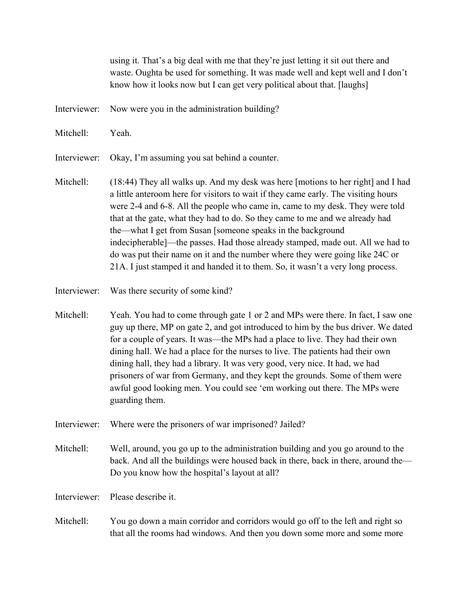using it. That's a big deal with me that they're just letting it sit out there and waste. Oughta be used for something. It was made well and kept well and I don't know how it looks now but I can get very political about that. [laughs]

- Interviewer: Now were you in the administration building?
- Mitchell: Yeah.

Interviewer: Okay, I'm assuming you sat behind a counter.

- Mitchell: (18:44) They all walks up. And my desk was here [motions to her right] and I had a little anteroom here for visitors to wait if they came early. The visiting hours were 2-4 and 6-8. All the people who came in, came to my desk. They were told that at the gate, what they had to do. So they came to me and we already had the—what I get from Susan [someone speaks in the background indecipherable]—the passes. Had those already stamped, made out. All we had to do was put their name on it and the number where they were going like 24C or 21A. I just stamped it and handed it to them. So, it wasn't a very long process.
- Interviewer: Was there security of some kind?
- Mitchell: Yeah. You had to come through gate 1 or 2 and MPs were there. In fact, I saw one guy up there, MP on gate 2, and got introduced to him by the bus driver. We dated for a couple of years. It was—the MPs had a place to live. They had their own dining hall. We had a place for the nurses to live. The patients had their own dining hall, they had a library. It was very good, very nice. It had, we had prisoners of war from Germany, and they kept the grounds. Some of them were awful good looking men. You could see 'em working out there. The MPs were guarding them.
- Interviewer: Where were the prisoners of war imprisoned? Jailed?
- Mitchell: Well, around, you go up to the administration building and you go around to the back. And all the buildings were housed back in there, back in there, around the— Do you know how the hospital's layout at all?

Interviewer: Please describe it.

Mitchell: You go down a main corridor and corridors would go off to the left and right so that all the rooms had windows. And then you down some more and some more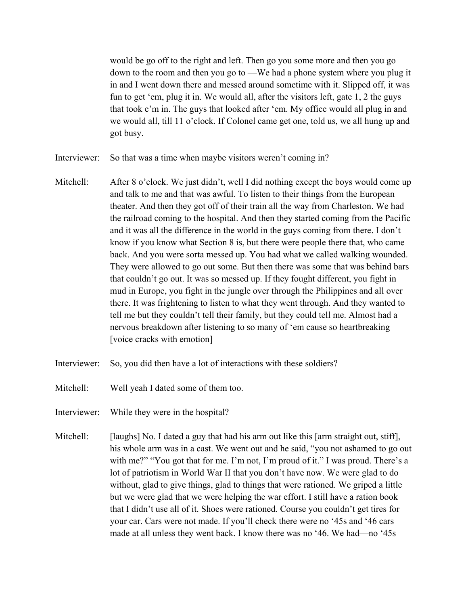would be go off to the right and left. Then go you some more and then you go down to the room and then you go to —We had a phone system where you plug it in and I went down there and messed around sometime with it. Slipped off, it was fun to get 'em, plug it in. We would all, after the visitors left, gate 1, 2 the guys that took e'm in. The guys that looked after 'em. My office would all plug in and we would all, till 11 o'clock. If Colonel came get one, told us, we all hung up and got busy.

- Interviewer: So that was a time when maybe visitors weren't coming in?
- Mitchell: After 8 o'clock. We just didn't, well I did nothing except the boys would come up and talk to me and that was awful. To listen to their things from the European theater. And then they got off of their train all the way from Charleston. We had the railroad coming to the hospital. And then they started coming from the Pacific and it was all the difference in the world in the guys coming from there. I don't know if you know what Section 8 is, but there were people there that, who came back. And you were sorta messed up. You had what we called walking wounded. They were allowed to go out some. But then there was some that was behind bars that couldn't go out. It was so messed up. If they fought different, you fight in mud in Europe, you fight in the jungle over through the Philippines and all over there. It was frightening to listen to what they went through. And they wanted to tell me but they couldn't tell their family, but they could tell me. Almost had a nervous breakdown after listening to so many of 'em cause so heartbreaking [voice cracks with emotion]
- Interviewer: So, you did then have a lot of interactions with these soldiers?
- Mitchell: Well yeah I dated some of them too.
- Interviewer: While they were in the hospital?
- Mitchell: [laughs] No. I dated a guy that had his arm out like this [arm straight out, stiff], his whole arm was in a cast. We went out and he said, "you not ashamed to go out with me?" "You got that for me. I'm not, I'm proud of it." I was proud. There's a lot of patriotism in World War II that you don't have now. We were glad to do without, glad to give things, glad to things that were rationed. We griped a little but we were glad that we were helping the war effort. I still have a ration book that I didn't use all of it. Shoes were rationed. Course you couldn't get tires for your car. Cars were not made. If you'll check there were no '45s and '46 cars made at all unless they went back. I know there was no '46. We had—no '45s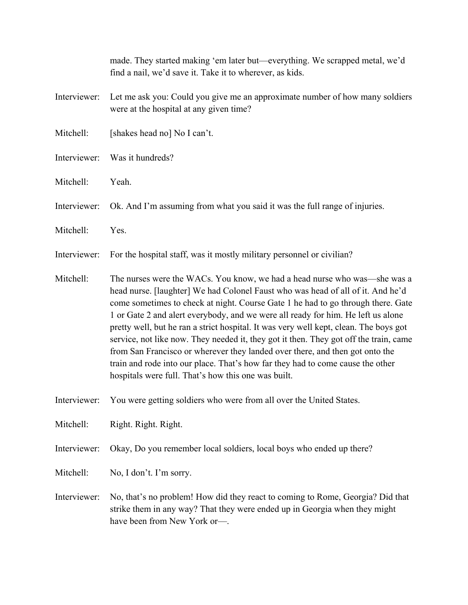|              | made. They started making 'em later but—everything. We scrapped metal, we'd<br>find a nail, we'd save it. Take it to wherever, as kids.                                                                                                                                                                                                                                                                                                                                                                                                                                                                                                                                                                                                         |
|--------------|-------------------------------------------------------------------------------------------------------------------------------------------------------------------------------------------------------------------------------------------------------------------------------------------------------------------------------------------------------------------------------------------------------------------------------------------------------------------------------------------------------------------------------------------------------------------------------------------------------------------------------------------------------------------------------------------------------------------------------------------------|
| Interviewer: | Let me ask you: Could you give me an approximate number of how many soldiers<br>were at the hospital at any given time?                                                                                                                                                                                                                                                                                                                                                                                                                                                                                                                                                                                                                         |
| Mitchell:    | [shakes head no] No I can't.                                                                                                                                                                                                                                                                                                                                                                                                                                                                                                                                                                                                                                                                                                                    |
| Interviewer: | Was it hundreds?                                                                                                                                                                                                                                                                                                                                                                                                                                                                                                                                                                                                                                                                                                                                |
| Mitchell:    | Yeah.                                                                                                                                                                                                                                                                                                                                                                                                                                                                                                                                                                                                                                                                                                                                           |
| Interviewer: | Ok. And I'm assuming from what you said it was the full range of injuries.                                                                                                                                                                                                                                                                                                                                                                                                                                                                                                                                                                                                                                                                      |
| Mitchell:    | Yes.                                                                                                                                                                                                                                                                                                                                                                                                                                                                                                                                                                                                                                                                                                                                            |
| Interviewer: | For the hospital staff, was it mostly military personnel or civilian?                                                                                                                                                                                                                                                                                                                                                                                                                                                                                                                                                                                                                                                                           |
| Mitchell:    | The nurses were the WACs. You know, we had a head nurse who was—she was a<br>head nurse. [laughter] We had Colonel Faust who was head of all of it. And he'd<br>come sometimes to check at night. Course Gate 1 he had to go through there. Gate<br>1 or Gate 2 and alert everybody, and we were all ready for him. He left us alone<br>pretty well, but he ran a strict hospital. It was very well kept, clean. The boys got<br>service, not like now. They needed it, they got it then. They got off the train, came<br>from San Francisco or wherever they landed over there, and then got onto the<br>train and rode into our place. That's how far they had to come cause the other<br>hospitals were full. That's how this one was built. |
| Interviewer: | You were getting soldiers who were from all over the United States.                                                                                                                                                                                                                                                                                                                                                                                                                                                                                                                                                                                                                                                                             |
| Mitchell:    | Right. Right. Right.                                                                                                                                                                                                                                                                                                                                                                                                                                                                                                                                                                                                                                                                                                                            |
| Interviewer: | Okay, Do you remember local soldiers, local boys who ended up there?                                                                                                                                                                                                                                                                                                                                                                                                                                                                                                                                                                                                                                                                            |

- Mitchell: No, I don't. I'm sorry.
- Interviewer: No, that's no problem! How did they react to coming to Rome, Georgia? Did that strike them in any way? That they were ended up in Georgia when they might have been from New York or—.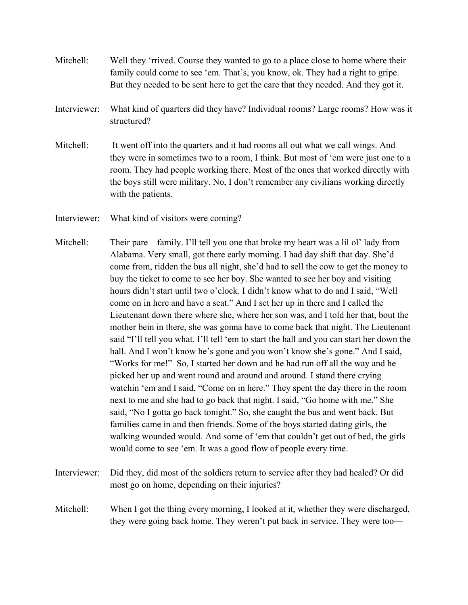- Mitchell: Well they 'rrived. Course they wanted to go to a place close to home where their family could come to see 'em. That's, you know, ok. They had a right to gripe. But they needed to be sent here to get the care that they needed. And they got it.
- Interviewer: What kind of quarters did they have? Individual rooms? Large rooms? How was it structured?
- Mitchell: It went off into the quarters and it had rooms all out what we call wings. And they were in sometimes two to a room, I think. But most of 'em were just one to a room. They had people working there. Most of the ones that worked directly with the boys still were military. No, I don't remember any civilians working directly with the patients.
- Interviewer: What kind of visitors were coming?
- Mitchell: Their pare—family. I'll tell you one that broke my heart was a lil ol' lady from Alabama. Very small, got there early morning. I had day shift that day. She'd come from, ridden the bus all night, she'd had to sell the cow to get the money to buy the ticket to come to see her boy. She wanted to see her boy and visiting hours didn't start until two o'clock. I didn't know what to do and I said, "Well come on in here and have a seat." And I set her up in there and I called the Lieutenant down there where she, where her son was, and I told her that, bout the mother bein in there, she was gonna have to come back that night. The Lieutenant said "I'll tell you what. I'll tell 'em to start the hall and you can start her down the hall. And I won't know he's gone and you won't know she's gone." And I said, "Works for me!" So, I started her down and he had run off all the way and he picked her up and went round and around and around. I stand there crying watchin 'em and I said, "Come on in here." They spent the day there in the room next to me and she had to go back that night. I said, "Go home with me." She said, "No I gotta go back tonight." So, she caught the bus and went back. But families came in and then friends. Some of the boys started dating girls, the walking wounded would. And some of 'em that couldn't get out of bed, the girls would come to see 'em. It was a good flow of people every time.
- Interviewer: Did they, did most of the soldiers return to service after they had healed? Or did most go on home, depending on their injuries?
- Mitchell: When I got the thing every morning, I looked at it, whether they were discharged, they were going back home. They weren't put back in service. They were too—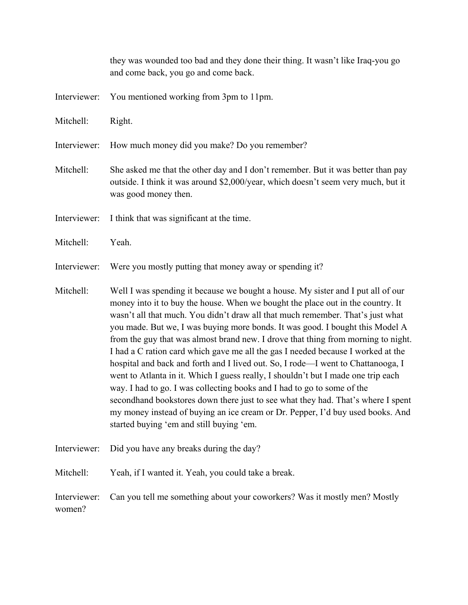|                        | they was wounded too bad and they done their thing. It wasn't like Iraq-you go<br>and come back, you go and come back.                                                                                                                                                                                                                                                                                                                                                                                                                                                                                                                                                                                                                                                                                                                                                                                                                                                                |
|------------------------|---------------------------------------------------------------------------------------------------------------------------------------------------------------------------------------------------------------------------------------------------------------------------------------------------------------------------------------------------------------------------------------------------------------------------------------------------------------------------------------------------------------------------------------------------------------------------------------------------------------------------------------------------------------------------------------------------------------------------------------------------------------------------------------------------------------------------------------------------------------------------------------------------------------------------------------------------------------------------------------|
| Interviewer:           | You mentioned working from 3pm to 11pm.                                                                                                                                                                                                                                                                                                                                                                                                                                                                                                                                                                                                                                                                                                                                                                                                                                                                                                                                               |
| Mitchell:              | Right.                                                                                                                                                                                                                                                                                                                                                                                                                                                                                                                                                                                                                                                                                                                                                                                                                                                                                                                                                                                |
| Interviewer:           | How much money did you make? Do you remember?                                                                                                                                                                                                                                                                                                                                                                                                                                                                                                                                                                                                                                                                                                                                                                                                                                                                                                                                         |
| Mitchell:              | She asked me that the other day and I don't remember. But it was better than pay<br>outside. I think it was around \$2,000/year, which doesn't seem very much, but it<br>was good money then.                                                                                                                                                                                                                                                                                                                                                                                                                                                                                                                                                                                                                                                                                                                                                                                         |
| Interviewer:           | I think that was significant at the time.                                                                                                                                                                                                                                                                                                                                                                                                                                                                                                                                                                                                                                                                                                                                                                                                                                                                                                                                             |
| Mitchell:              | Yeah.                                                                                                                                                                                                                                                                                                                                                                                                                                                                                                                                                                                                                                                                                                                                                                                                                                                                                                                                                                                 |
| Interviewer:           | Were you mostly putting that money away or spending it?                                                                                                                                                                                                                                                                                                                                                                                                                                                                                                                                                                                                                                                                                                                                                                                                                                                                                                                               |
| Mitchell:              | Well I was spending it because we bought a house. My sister and I put all of our<br>money into it to buy the house. When we bought the place out in the country. It<br>wasn't all that much. You didn't draw all that much remember. That's just what<br>you made. But we, I was buying more bonds. It was good. I bought this Model A<br>from the guy that was almost brand new. I drove that thing from morning to night.<br>I had a C ration card which gave me all the gas I needed because I worked at the<br>hospital and back and forth and I lived out. So, I rode—I went to Chattanooga, I<br>went to Atlanta in it. Which I guess really, I shouldn't but I made one trip each<br>way. I had to go. I was collecting books and I had to go to some of the<br>secondhand bookstores down there just to see what they had. That's where I spent<br>my money instead of buying an ice cream or Dr. Pepper, I'd buy used books. And<br>started buying 'em and still buying 'em. |
| Interviewer:           | Did you have any breaks during the day?                                                                                                                                                                                                                                                                                                                                                                                                                                                                                                                                                                                                                                                                                                                                                                                                                                                                                                                                               |
| Mitchell:              | Yeah, if I wanted it. Yeah, you could take a break.                                                                                                                                                                                                                                                                                                                                                                                                                                                                                                                                                                                                                                                                                                                                                                                                                                                                                                                                   |
| Interviewer:<br>women? | Can you tell me something about your coworkers? Was it mostly men? Mostly                                                                                                                                                                                                                                                                                                                                                                                                                                                                                                                                                                                                                                                                                                                                                                                                                                                                                                             |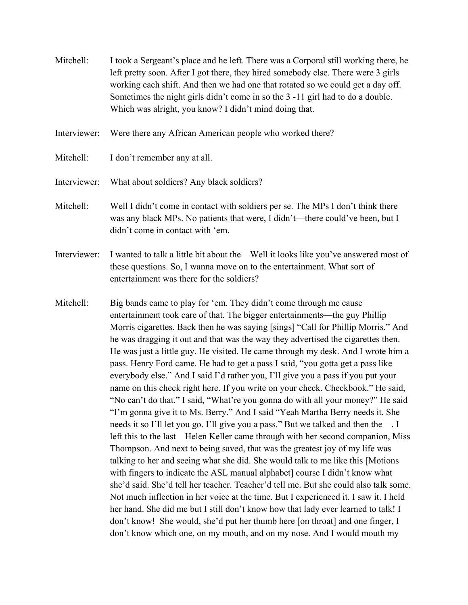- Mitchell: I took a Sergeant's place and he left. There was a Corporal still working there, he left pretty soon. After I got there, they hired somebody else. There were 3 girls working each shift. And then we had one that rotated so we could get a day off. Sometimes the night girls didn't come in so the 3 -11 girl had to do a double. Which was alright, you know? I didn't mind doing that.
- Interviewer: Were there any African American people who worked there?
- Mitchell: I don't remember any at all.
- Interviewer: What about soldiers? Any black soldiers?
- Mitchell: Well I didn't come in contact with soldiers per se. The MPs I don't think there was any black MPs. No patients that were, I didn't—there could've been, but I didn't come in contact with 'em.
- Interviewer: I wanted to talk a little bit about the—Well it looks like you've answered most of these questions. So, I wanna move on to the entertainment. What sort of entertainment was there for the soldiers?
- Mitchell: Big bands came to play for 'em. They didn't come through me cause entertainment took care of that. The bigger entertainments—the guy Phillip Morris cigarettes. Back then he was saying [sings] "Call for Phillip Morris." And he was dragging it out and that was the way they advertised the cigarettes then. He was just a little guy. He visited. He came through my desk. And I wrote him a pass. Henry Ford came. He had to get a pass I said, "you gotta get a pass like everybody else." And I said I'd rather you, I'll give you a pass if you put your name on this check right here. If you write on your check. Checkbook." He said, "No can't do that." I said, "What're you gonna do with all your money?" He said "I'm gonna give it to Ms. Berry." And I said "Yeah Martha Berry needs it. She needs it so I'll let you go. I'll give you a pass." But we talked and then the—. I left this to the last—Helen Keller came through with her second companion, Miss Thompson. And next to being saved, that was the greatest joy of my life was talking to her and seeing what she did. She would talk to me like this [Motions with fingers to indicate the ASL manual alphabet] course I didn't know what she'd said. She'd tell her teacher. Teacher'd tell me. But she could also talk some. Not much inflection in her voice at the time. But I experienced it. I saw it. I held her hand. She did me but I still don't know how that lady ever learned to talk! I don't know! She would, she'd put her thumb here [on throat] and one finger, I don't know which one, on my mouth, and on my nose. And I would mouth my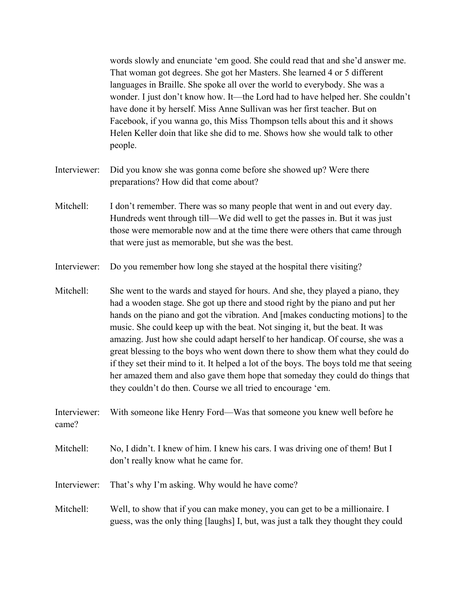words slowly and enunciate 'em good. She could read that and she'd answer me. That woman got degrees. She got her Masters. She learned 4 or 5 different languages in Braille. She spoke all over the world to everybody. She was a wonder. I just don't know how. It—the Lord had to have helped her. She couldn't have done it by herself. Miss Anne Sullivan was her first teacher. But on Facebook, if you wanna go, this Miss Thompson tells about this and it shows Helen Keller doin that like she did to me. Shows how she would talk to other people.

- Interviewer: Did you know she was gonna come before she showed up? Were there preparations? How did that come about?
- Mitchell: I don't remember. There was so many people that went in and out every day. Hundreds went through till—We did well to get the passes in. But it was just those were memorable now and at the time there were others that came through that were just as memorable, but she was the best.
- Interviewer: Do you remember how long she stayed at the hospital there visiting?
- Mitchell: She went to the wards and stayed for hours. And she, they played a piano, they had a wooden stage. She got up there and stood right by the piano and put her hands on the piano and got the vibration. And [makes conducting motions] to the music. She could keep up with the beat. Not singing it, but the beat. It was amazing. Just how she could adapt herself to her handicap. Of course, she was a great blessing to the boys who went down there to show them what they could do if they set their mind to it. It helped a lot of the boys. The boys told me that seeing her amazed them and also gave them hope that someday they could do things that they couldn't do then. Course we all tried to encourage 'em.
- Interviewer: With someone like Henry Ford—Was that someone you knew well before he came?
- Mitchell: No, I didn't. I knew of him. I knew his cars. I was driving one of them! But I don't really know what he came for.
- Interviewer: That's why I'm asking. Why would he have come?
- Mitchell: Well, to show that if you can make money, you can get to be a millionaire. I guess, was the only thing [laughs] I, but, was just a talk they thought they could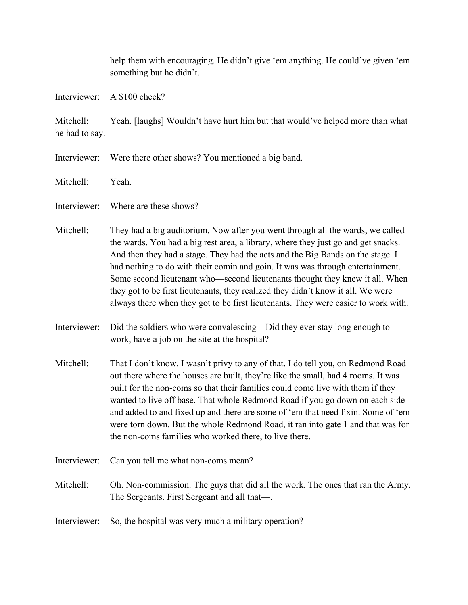help them with encouraging. He didn't give 'em anything. He could've given 'em something but he didn't.

Interviewer: A \$100 check?

Mitchell: Yeah. [laughs] Wouldn't have hurt him but that would've helped more than what he had to say.

- Interviewer: Were there other shows? You mentioned a big band.
- Mitchell: Yeah.
- Interviewer: Where are these shows?
- Mitchell: They had a big auditorium. Now after you went through all the wards, we called the wards. You had a big rest area, a library, where they just go and get snacks. And then they had a stage. They had the acts and the Big Bands on the stage. I had nothing to do with their comin and goin. It was was through entertainment. Some second lieutenant who—second lieutenants thought they knew it all. When they got to be first lieutenants, they realized they didn't know it all. We were always there when they got to be first lieutenants. They were easier to work with.
- Interviewer: Did the soldiers who were convalescing—Did they ever stay long enough to work, have a job on the site at the hospital?
- Mitchell: That I don't know. I wasn't privy to any of that. I do tell you, on Redmond Road out there where the houses are built, they're like the small, had 4 rooms. It was built for the non-coms so that their families could come live with them if they wanted to live off base. That whole Redmond Road if you go down on each side and added to and fixed up and there are some of 'em that need fixin. Some of 'em were torn down. But the whole Redmond Road, it ran into gate 1 and that was for the non-coms families who worked there, to live there.
- Interviewer: Can you tell me what non-coms mean?
- Mitchell: Oh. Non-commission. The guys that did all the work. The ones that ran the Army. The Sergeants. First Sergeant and all that—.
- Interviewer: So, the hospital was very much a military operation?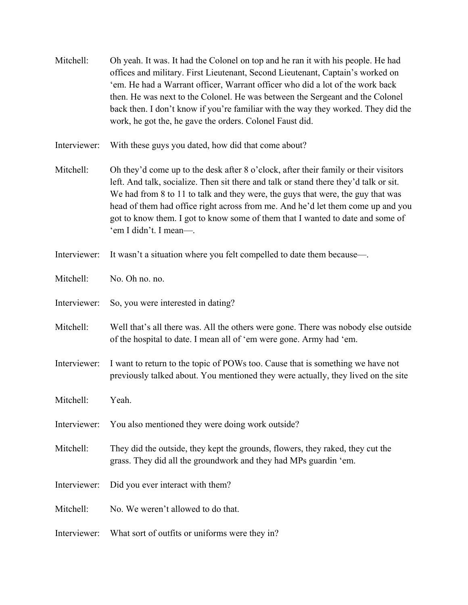| Mitchell: | Oh yeah. It was. It had the Colonel on top and he ran it with his people. He had  |
|-----------|-----------------------------------------------------------------------------------|
|           | offices and military. First Lieutenant, Second Lieutenant, Captain's worked on    |
|           | 'em. He had a Warrant officer, Warrant officer who did a lot of the work back     |
|           | then. He was next to the Colonel. He was between the Sergeant and the Colonel     |
|           | back then. I don't know if you're familiar with the way they worked. They did the |
|           | work, he got the, he gave the orders. Colonel Faust did.                          |

- Interviewer: With these guys you dated, how did that come about?
- Mitchell: Oh they'd come up to the desk after 8 o'clock, after their family or their visitors left. And talk, socialize. Then sit there and talk or stand there they'd talk or sit. We had from 8 to 11 to talk and they were, the guys that were, the guy that was head of them had office right across from me. And he'd let them come up and you got to know them. I got to know some of them that I wanted to date and some of 'em I didn't. I mean—.
- Interviewer: It wasn't a situation where you felt compelled to date them because—.
- Mitchell: No. Oh no. no.
- Interviewer: So, you were interested in dating?
- Mitchell: Well that's all there was. All the others were gone. There was nobody else outside of the hospital to date. I mean all of 'em were gone. Army had 'em.
- Interviewer: I want to return to the topic of POWs too. Cause that is something we have not previously talked about. You mentioned they were actually, they lived on the site
- Mitchell: Yeah.
- Interviewer: You also mentioned they were doing work outside?
- Mitchell: They did the outside, they kept the grounds, flowers, they raked, they cut the grass. They did all the groundwork and they had MPs guardin 'em.
- Interviewer: Did you ever interact with them?
- Mitchell: No. We weren't allowed to do that.
- Interviewer: What sort of outfits or uniforms were they in?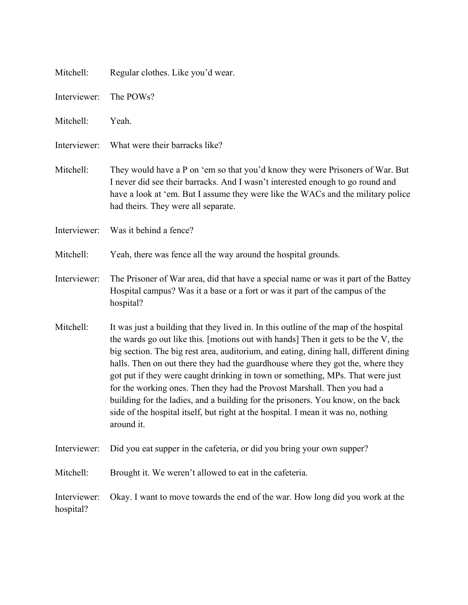| Mitchell:                 | Regular clothes. Like you'd wear.                                                                                                                                                                                                                                                                                                                                                                                                                                                                                                                                                                                                                                                                            |
|---------------------------|--------------------------------------------------------------------------------------------------------------------------------------------------------------------------------------------------------------------------------------------------------------------------------------------------------------------------------------------------------------------------------------------------------------------------------------------------------------------------------------------------------------------------------------------------------------------------------------------------------------------------------------------------------------------------------------------------------------|
| Interviewer:              | The POWs?                                                                                                                                                                                                                                                                                                                                                                                                                                                                                                                                                                                                                                                                                                    |
| Mitchell:                 | Yeah.                                                                                                                                                                                                                                                                                                                                                                                                                                                                                                                                                                                                                                                                                                        |
| Interviewer:              | What were their barracks like?                                                                                                                                                                                                                                                                                                                                                                                                                                                                                                                                                                                                                                                                               |
| Mitchell:                 | They would have a P on 'em so that you'd know they were Prisoners of War. But<br>I never did see their barracks. And I wasn't interested enough to go round and<br>have a look at 'em. But I assume they were like the WACs and the military police<br>had theirs. They were all separate.                                                                                                                                                                                                                                                                                                                                                                                                                   |
| Interviewer:              | Was it behind a fence?                                                                                                                                                                                                                                                                                                                                                                                                                                                                                                                                                                                                                                                                                       |
| Mitchell:                 | Yeah, there was fence all the way around the hospital grounds.                                                                                                                                                                                                                                                                                                                                                                                                                                                                                                                                                                                                                                               |
| Interviewer:              | The Prisoner of War area, did that have a special name or was it part of the Battey<br>Hospital campus? Was it a base or a fort or was it part of the campus of the<br>hospital?                                                                                                                                                                                                                                                                                                                                                                                                                                                                                                                             |
| Mitchell:                 | It was just a building that they lived in. In this outline of the map of the hospital<br>the wards go out like this. [motions out with hands] Then it gets to be the V, the<br>big section. The big rest area, auditorium, and eating, dining hall, different dining<br>halls. Then on out there they had the guardhouse where they got the, where they<br>got put if they were caught drinking in town or something, MPs. That were just<br>for the working ones. Then they had the Provost Marshall. Then you had a<br>building for the ladies, and a building for the prisoners. You know, on the back<br>side of the hospital itself, but right at the hospital. I mean it was no, nothing<br>around it. |
| Interviewer:              | Did you eat supper in the cafeteria, or did you bring your own supper?                                                                                                                                                                                                                                                                                                                                                                                                                                                                                                                                                                                                                                       |
| Mitchell:                 | Brought it. We weren't allowed to eat in the cafeteria.                                                                                                                                                                                                                                                                                                                                                                                                                                                                                                                                                                                                                                                      |
| Interviewer:<br>hospital? | Okay. I want to move towards the end of the war. How long did you work at the                                                                                                                                                                                                                                                                                                                                                                                                                                                                                                                                                                                                                                |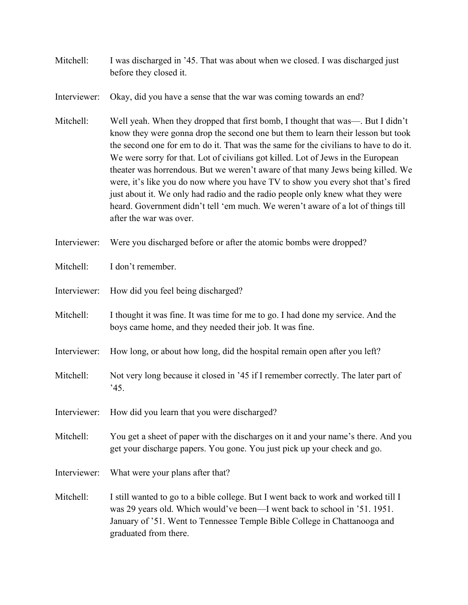- Mitchell: I was discharged in '45. That was about when we closed. I was discharged just before they closed it.
- Interviewer: Okay, did you have a sense that the war was coming towards an end?
- Mitchell: Well yeah. When they dropped that first bomb, I thought that was—. But I didn't know they were gonna drop the second one but them to learn their lesson but took the second one for em to do it. That was the same for the civilians to have to do it. We were sorry for that. Lot of civilians got killed. Lot of Jews in the European theater was horrendous. But we weren't aware of that many Jews being killed. We were, it's like you do now where you have TV to show you every shot that's fired just about it. We only had radio and the radio people only knew what they were heard. Government didn't tell 'em much. We weren't aware of a lot of things till after the war was over.
- Interviewer: Were you discharged before or after the atomic bombs were dropped?
- Mitchell: I don't remember.
- Interviewer: How did you feel being discharged?
- Mitchell: I thought it was fine. It was time for me to go. I had done my service. And the boys came home, and they needed their job. It was fine.
- Interviewer: How long, or about how long, did the hospital remain open after you left?
- Mitchell: Not very long because it closed in '45 if I remember correctly. The later part of '45.
- Interviewer: How did you learn that you were discharged?
- Mitchell: You get a sheet of paper with the discharges on it and your name's there. And you get your discharge papers. You gone. You just pick up your check and go.
- Interviewer: What were your plans after that?
- Mitchell: I still wanted to go to a bible college. But I went back to work and worked till I was 29 years old. Which would've been—I went back to school in '51. 1951. January of '51. Went to Tennessee Temple Bible College in Chattanooga and graduated from there.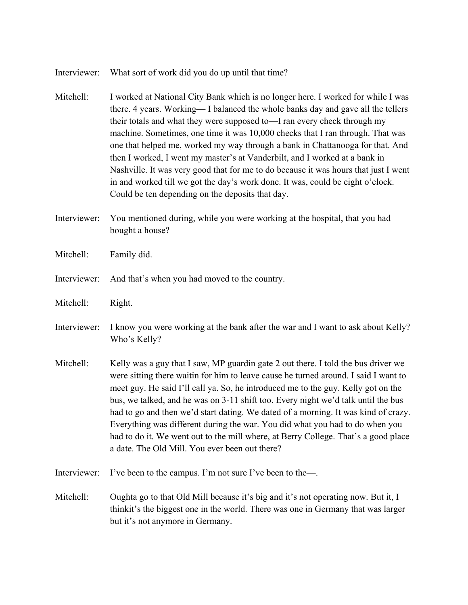## Interviewer: What sort of work did you do up until that time?

- Mitchell: I worked at National City Bank which is no longer here. I worked for while I was there. 4 years. Working— I balanced the whole banks day and gave all the tellers their totals and what they were supposed to—I ran every check through my machine. Sometimes, one time it was 10,000 checks that I ran through. That was one that helped me, worked my way through a bank in Chattanooga for that. And then I worked, I went my master's at Vanderbilt, and I worked at a bank in Nashville. It was very good that for me to do because it was hours that just I went in and worked till we got the day's work done. It was, could be eight o'clock. Could be ten depending on the deposits that day.
- Interviewer: You mentioned during, while you were working at the hospital, that you had bought a house?
- Mitchell: Family did.
- Interviewer: And that's when you had moved to the country.
- Mitchell: Right.
- Interviewer: I know you were working at the bank after the war and I want to ask about Kelly? Who's Kelly?
- Mitchell: Kelly was a guy that I saw, MP guardin gate 2 out there. I told the bus driver we were sitting there waitin for him to leave cause he turned around. I said I want to meet guy. He said I'll call ya. So, he introduced me to the guy. Kelly got on the bus, we talked, and he was on 3-11 shift too. Every night we'd talk until the bus had to go and then we'd start dating. We dated of a morning. It was kind of crazy. Everything was different during the war. You did what you had to do when you had to do it. We went out to the mill where, at Berry College. That's a good place a date. The Old Mill. You ever been out there?
- Interviewer: I've been to the campus. I'm not sure I've been to the—.
- Mitchell: Oughta go to that Old Mill because it's big and it's not operating now. But it, I thinkit's the biggest one in the world. There was one in Germany that was larger but it's not anymore in Germany.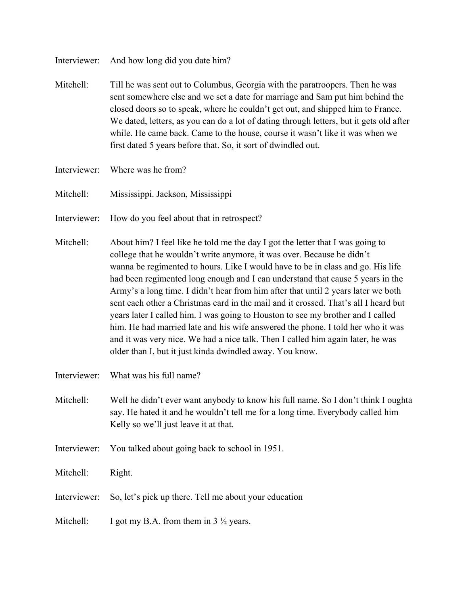Interviewer: And how long did you date him?

- Mitchell: Till he was sent out to Columbus, Georgia with the paratroopers. Then he was sent somewhere else and we set a date for marriage and Sam put him behind the closed doors so to speak, where he couldn't get out, and shipped him to France. We dated, letters, as you can do a lot of dating through letters, but it gets old after while. He came back. Came to the house, course it wasn't like it was when we first dated 5 years before that. So, it sort of dwindled out.
- Interviewer: Where was he from?
- Mitchell: Mississippi. Jackson, Mississippi
- Interviewer: How do you feel about that in retrospect?
- Mitchell: About him? I feel like he told me the day I got the letter that I was going to college that he wouldn't write anymore, it was over. Because he didn't wanna be regimented to hours. Like I would have to be in class and go. His life had been regimented long enough and I can understand that cause 5 years in the Army's a long time. I didn't hear from him after that until 2 years later we both sent each other a Christmas card in the mail and it crossed. That's all I heard but years later I called him. I was going to Houston to see my brother and I called him. He had married late and his wife answered the phone. I told her who it was and it was very nice. We had a nice talk. Then I called him again later, he was older than I, but it just kinda dwindled away. You know.
- Interviewer: What was his full name?
- Mitchell: Well he didn't ever want anybody to know his full name. So I don't think I oughta say. He hated it and he wouldn't tell me for a long time. Everybody called him Kelly so we'll just leave it at that.
- Interviewer: You talked about going back to school in 1951.
- Mitchell: Right.
- Interviewer: So, let's pick up there. Tell me about your education
- Mitchell: I got my B.A. from them in  $3\frac{1}{2}$  years.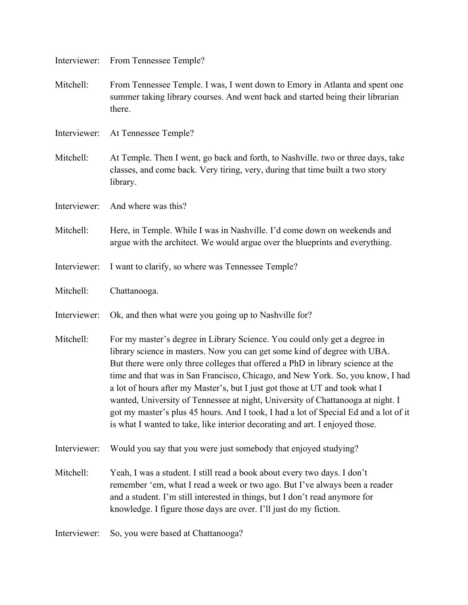| Interviewer: | From Tennessee Temple?                                                                                                                                                                                                                                                                                                                                                                                                                                                                                                                                                                                                                                                 |
|--------------|------------------------------------------------------------------------------------------------------------------------------------------------------------------------------------------------------------------------------------------------------------------------------------------------------------------------------------------------------------------------------------------------------------------------------------------------------------------------------------------------------------------------------------------------------------------------------------------------------------------------------------------------------------------------|
| Mitchell:    | From Tennessee Temple. I was, I went down to Emory in Atlanta and spent one<br>summer taking library courses. And went back and started being their librarian<br>there.                                                                                                                                                                                                                                                                                                                                                                                                                                                                                                |
| Interviewer: | At Tennessee Temple?                                                                                                                                                                                                                                                                                                                                                                                                                                                                                                                                                                                                                                                   |
| Mitchell:    | At Temple. Then I went, go back and forth, to Nashville. two or three days, take<br>classes, and come back. Very tiring, very, during that time built a two story<br>library.                                                                                                                                                                                                                                                                                                                                                                                                                                                                                          |
| Interviewer: | And where was this?                                                                                                                                                                                                                                                                                                                                                                                                                                                                                                                                                                                                                                                    |
| Mitchell:    | Here, in Temple. While I was in Nashville. I'd come down on weekends and<br>argue with the architect. We would argue over the blueprints and everything.                                                                                                                                                                                                                                                                                                                                                                                                                                                                                                               |
| Interviewer: | I want to clarify, so where was Tennessee Temple?                                                                                                                                                                                                                                                                                                                                                                                                                                                                                                                                                                                                                      |
| Mitchell:    | Chattanooga.                                                                                                                                                                                                                                                                                                                                                                                                                                                                                                                                                                                                                                                           |
| Interviewer: | Ok, and then what were you going up to Nashville for?                                                                                                                                                                                                                                                                                                                                                                                                                                                                                                                                                                                                                  |
| Mitchell:    | For my master's degree in Library Science. You could only get a degree in<br>library science in masters. Now you can get some kind of degree with UBA.<br>But there were only three colleges that offered a PhD in library science at the<br>time and that was in San Francisco, Chicago, and New York. So, you know, I had<br>a lot of hours after my Master's, but I just got those at UT and took what I<br>wanted, University of Tennessee at night, University of Chattanooga at night. I<br>got my master's plus 45 hours. And I took, I had a lot of Special Ed and a lot of it<br>is what I wanted to take, like interior decorating and art. I enjoyed those. |
| Interviewer: | Would you say that you were just somebody that enjoyed studying?                                                                                                                                                                                                                                                                                                                                                                                                                                                                                                                                                                                                       |
| Mitchell:    | Yeah, I was a student. I still read a book about every two days. I don't<br>remember 'em, what I read a week or two ago. But I've always been a reader<br>and a student. I'm still interested in things, but I don't read anymore for<br>knowledge. I figure those days are over. I'll just do my fiction.                                                                                                                                                                                                                                                                                                                                                             |
| Interviewer: | So, you were based at Chattanooga?                                                                                                                                                                                                                                                                                                                                                                                                                                                                                                                                                                                                                                     |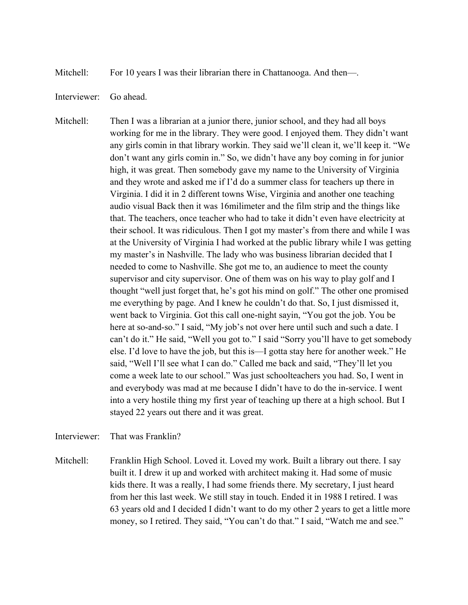Mitchell: For 10 years I was their librarian there in Chattanooga. And then—.

## Interviewer: Go ahead.

Mitchell: Then I was a librarian at a junior there, junior school, and they had all boys working for me in the library. They were good. I enjoyed them. They didn't want any girls comin in that library workin. They said we'll clean it, we'll keep it. "We don't want any girls comin in." So, we didn't have any boy coming in for junior high, it was great. Then somebody gave my name to the University of Virginia and they wrote and asked me if I'd do a summer class for teachers up there in Virginia. I did it in 2 different towns Wise, Virginia and another one teaching audio visual Back then it was 16milimeter and the film strip and the things like that. The teachers, once teacher who had to take it didn't even have electricity at their school. It was ridiculous. Then I got my master's from there and while I was at the University of Virginia I had worked at the public library while I was getting my master's in Nashville. The lady who was business librarian decided that I needed to come to Nashville. She got me to, an audience to meet the county supervisor and city supervisor. One of them was on his way to play golf and I thought "well just forget that, he's got his mind on golf." The other one promised me everything by page. And I knew he couldn't do that. So, I just dismissed it, went back to Virginia. Got this call one-night sayin, "You got the job. You be here at so-and-so." I said, "My job's not over here until such and such a date. I can't do it." He said, "Well you got to." I said "Sorry you'll have to get somebody else. I'd love to have the job, but this is—I gotta stay here for another week." He said, "Well I'll see what I can do." Called me back and said, "They'll let you come a week late to our school." Was just schoolteachers you had. So, I went in and everybody was mad at me because I didn't have to do the in-service. I went into a very hostile thing my first year of teaching up there at a high school. But I stayed 22 years out there and it was great.

Interviewer: That was Franklin?

Mitchell: Franklin High School. Loved it. Loved my work. Built a library out there. I say built it. I drew it up and worked with architect making it. Had some of music kids there. It was a really, I had some friends there. My secretary, I just heard from her this last week. We still stay in touch. Ended it in 1988 I retired. I was 63 years old and I decided I didn't want to do my other 2 years to get a little more money, so I retired. They said, "You can't do that." I said, "Watch me and see."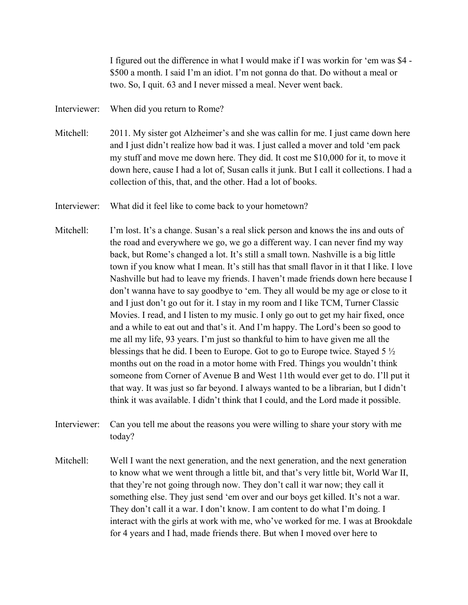I figured out the difference in what I would make if I was workin for 'em was \$4 - \$500 a month. I said I'm an idiot. I'm not gonna do that. Do without a meal or two. So, I quit. 63 and I never missed a meal. Never went back.

Interviewer: When did you return to Rome?

- Mitchell: 2011. My sister got Alzheimer's and she was callin for me. I just came down here and I just didn't realize how bad it was. I just called a mover and told 'em pack my stuff and move me down here. They did. It cost me \$10,000 for it, to move it down here, cause I had a lot of, Susan calls it junk. But I call it collections. I had a collection of this, that, and the other. Had a lot of books.
- Interviewer: What did it feel like to come back to your hometown?
- Mitchell: I'm lost. It's a change. Susan's a real slick person and knows the ins and outs of the road and everywhere we go, we go a different way. I can never find my way back, but Rome's changed a lot. It's still a small town. Nashville is a big little town if you know what I mean. It's still has that small flavor in it that I like. I love Nashville but had to leave my friends. I haven't made friends down here because I don't wanna have to say goodbye to 'em. They all would be my age or close to it and I just don't go out for it. I stay in my room and I like TCM, Turner Classic Movies. I read, and I listen to my music. I only go out to get my hair fixed, once and a while to eat out and that's it. And I'm happy. The Lord's been so good to me all my life, 93 years. I'm just so thankful to him to have given me all the blessings that he did. I been to Europe. Got to go to Europe twice. Stayed 5 ½ months out on the road in a motor home with Fred. Things you wouldn't think someone from Corner of Avenue B and West 11th would ever get to do. I'll put it that way. It was just so far beyond. I always wanted to be a librarian, but I didn't think it was available. I didn't think that I could, and the Lord made it possible.
- Interviewer: Can you tell me about the reasons you were willing to share your story with me today?
- Mitchell: Well I want the next generation, and the next generation, and the next generation to know what we went through a little bit, and that's very little bit, World War II, that they're not going through now. They don't call it war now; they call it something else. They just send 'em over and our boys get killed. It's not a war. They don't call it a war. I don't know. I am content to do what I'm doing. I interact with the girls at work with me, who've worked for me. I was at Brookdale for 4 years and I had, made friends there. But when I moved over here to